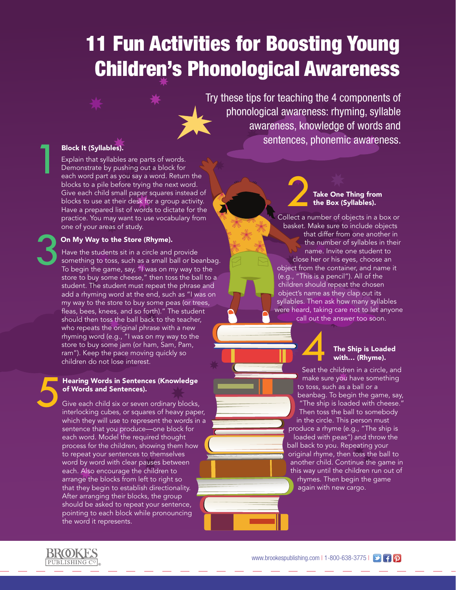# 11 Fun Activities for Boosting Young Children's Phonological Awareness

Try these tips for teaching the 4 components of phonological awareness: rhyming, syllable awareness, knowledge of words and sentences, phonemic awareness.

### Block It (Syllables).

1

3

5

Explain that syllables are parts of words. Demonstrate by pushing out a block for each word part as you say a word. Return the blocks to a pile before trying the next word. Give each child small paper squares instead of blocks to use at their desk for a group activity. Have a prepared list of words to dictate for the practice. You may want to use vocabulary from one of your areas of study.

### On My Way to the Store (Rhyme).

Have the students sit in a circle and provide something to toss, such as a small ball or beanbag. To begin the game, say, "I was on my way to the store to buy some cheese," then toss the ball to a student. The student must repeat the phrase and add a rhyming word at the end, such as "I was on my way to the store to buy some peas (or trees, fleas, bees, knees, and so forth)." The student should then toss the ball back to the teacher, who repeats the original phrase with a new rhyming word (e.g., "I was on my way to the store to buy some jam (or ham, Sam, Pam, ram"). Keep the pace moving quickly so children do not lose interest.

#### Hearing Words in Sentences (Knowledge of Words and Sentences).

Give each child six or seven ordinary blocks, interlocking cubes, or squares of heavy paper, which they will use to represent the words in a sentence that you produce—one block for each word. Model the required thought process for the children, showing them how to repeat your sentences to themselves word by word with clear pauses between each. Also encourage the children to arrange the blocks from left to right so that they begin to establish directionality. After arranging their blocks, the group should be asked to repeat your sentence, pointing to each block while pronouncing the word it represents.

# Take One Thing from<br>the Box (Syllables).<br>Collect a number of objects in a box or Take One Thing from the Box (Syllables).

basket. Make sure to include objects that differ from one another in the number of syllables in their name. Invite one student to close her or his eyes, choose an object from the container, and name it (e.g., "This is a pencil"). All of the children should repeat the chosen object's name as they clap out its syllables. Then ask how many syllables were heard, taking care not to let anyone call out the answer too soon.

## The Ship is Loaded<br>
with... (Rhyme).<br>
Seat the children in a circle, and The Ship is Loaded with… (Rhyme).

make sure you have something to toss, such as a ball or a beanbag. To begin the game, say, "The ship is loaded with cheese." Then toss the ball to somebody in the circle. This person must produce a rhyme (e.g., "The ship is loaded with peas") and throw the ball back to you. Repeating your original rhyme, then toss the ball to another child. Continue the game in this way until the children run out of rhymes. Then begin the game again with new cargo.